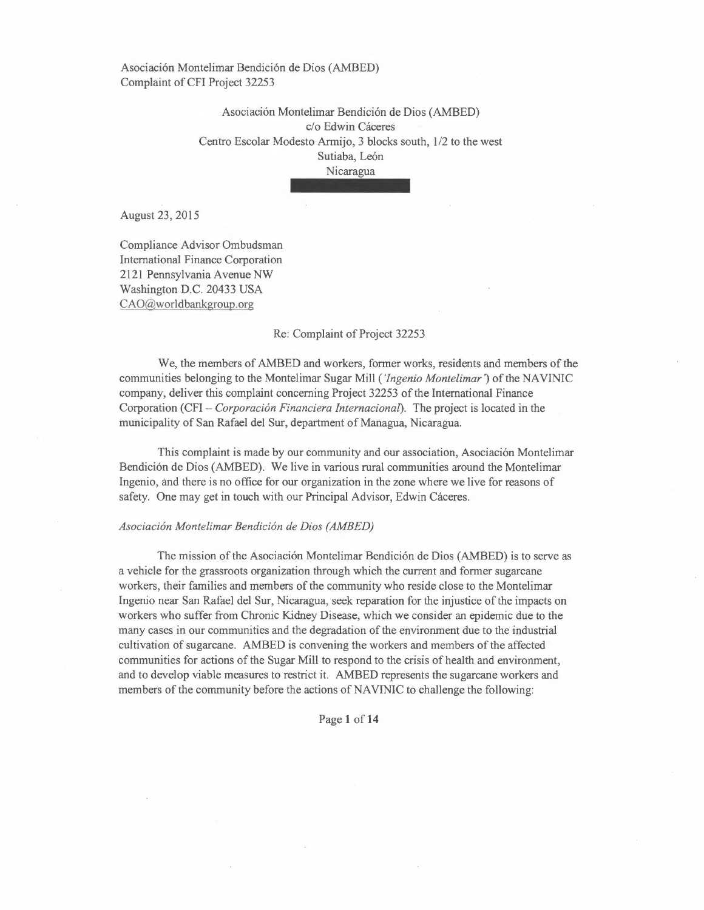> Asociacion Montelimar Bendicion de Dios (AMBED) c/o Edwin Cáceres Centro Escolar Modesto Armijo, 3 blocks south, 1/2 to the west Sutiaba, León Nicaragua

August 23, 2015

Compliance Advisor Ombudsman International Finance Corporation 2121 Pennsylvania Avenue NW Washington D.C. 20433 USA CAO@woridbankgroup.org

#### Re: Complaint of Project 32253

We, the members of AMBED and workers, former works, residents and members of the communities belonging to the Montelimar Sugar Mill *('Ingenio Montelimar')* of the NAVINIC company, deliver this complaint concerning Project 32253 of the International Finance Corporation (CFI - *Corporacion Financiera Internacional).* The project is located in the municipality of San Rafael del Sur, department of Managua, Nicaragua.

This complaint is made by our community and our association, Asociacion Montelimar Bendicion de Dios (AMBED). We live in various rural communities around the Montelimar Ingenio, and there is no office for our organization in the zone where we live for reasons of safety. One may get in touch with our Principal Advisor, Edwin Cáceres.

### *Asociacion Montelimar Bendicion de Dios (AMBED)*

The mission of the Asociacion Montelimar Bendicion de Dios (AMBED) is to serve as a vehicle for the grassroots organization through which the current and former sugarcane workers, their families and members of the community who reside close to the Montelimar Ingenio near San Rafael del Sur, Nicaragua, seek reparation for the injustice of the impacts on workers who suffer from Chronic Kidney Disease, which we consider an epidemic due to the many cases in our communities and the degradation of the environment due to the industrial cultivation of sugarcane. AMBED is convening the workers and members of the affected communities for actions of the Sugar Mill to respond to the crisis of health and environment, and to develop viable measures to restrict it. AMBED represents the sugarcane workers and members of the community before the actions of NAVINIC to challenge the following:

Page **1 of14**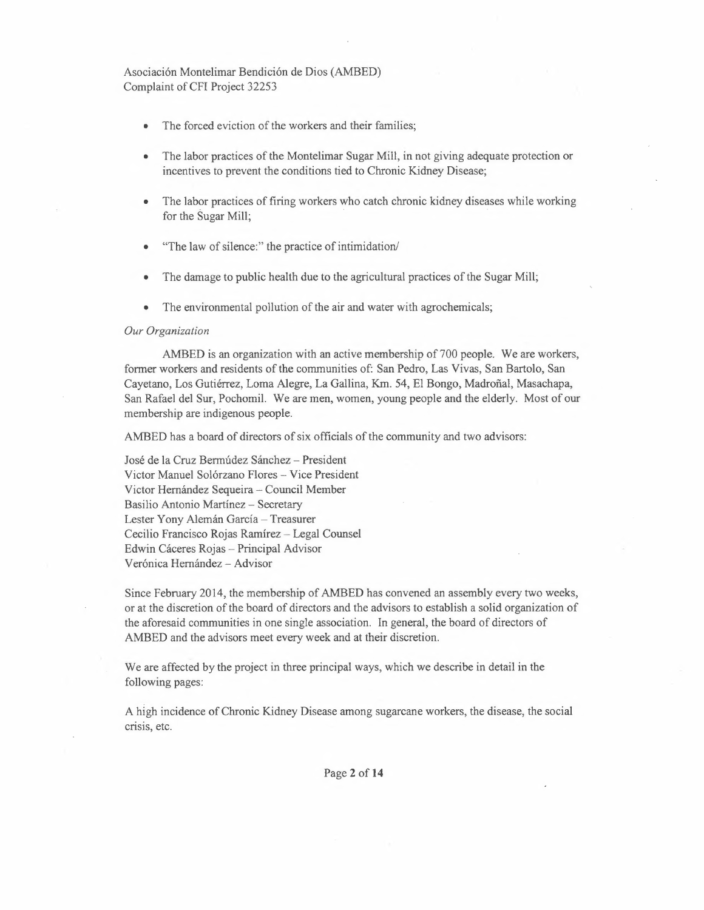- The forced eviction of the workers and their families;
- The labor practices of the Montelimar Sugar Mill, in not giving adequate protection or incentives to prevent the conditions tied to Chronic Kidney Disease;
- The labor practices of firing workers who catch chronic kidney diseases while working for the Sugar Mill;
- "The law of silence:" the practice of intimidation/
- The damage to public health due to the agricultural practices of the Sugar Mill;
- The environmental pollution of the air and water with agrochemicals;

#### *Our Organization*

AMBED is an organization with an active membership of 700 people. We are workers, former workers and residents of the communities of: San Pedro, Las Vivas, San Bartolo, San Cayetano, Los Gutierrez, Lorna Alegre, La Gallina, Km. 54, EI Bongo, Madrofial, Masachapa, San Rafael del Sur, Pochomil. We are men, women, young people and the elderly. Most of our membership are indigenous people.

AMBED has a board of directors of six officials of the community and two advisors:

José de la Cruz Bermúdez Sánchez - President Victor Manuel Solórzano Flores - Vice President Victor Hernández Sequeira - Council Member Basilio Antonio Martínez - Secretary Lester Yony Alemán García - Treasurer Cecilio Francisco Rojas Ramírez - Legal Counsel Edwin Cáceres Rojas - Principal Advisor Verónica Hernández - Advisor

Since February 2014, the membership of AMBED has convened an assembly every two weeks, or at the discretion of the board of directors and the advisors to establish a solid organization of the aforesaid communities in one single association. In general, the board of directors of AMBED and the advisors meet every week and at their discretion.

We are affected by the project in three principal ways, which we describe in detail in the following pages:

A high incidence of Chronic Kidney Disease among sugarcane workers, the disease, the social crisis, etc.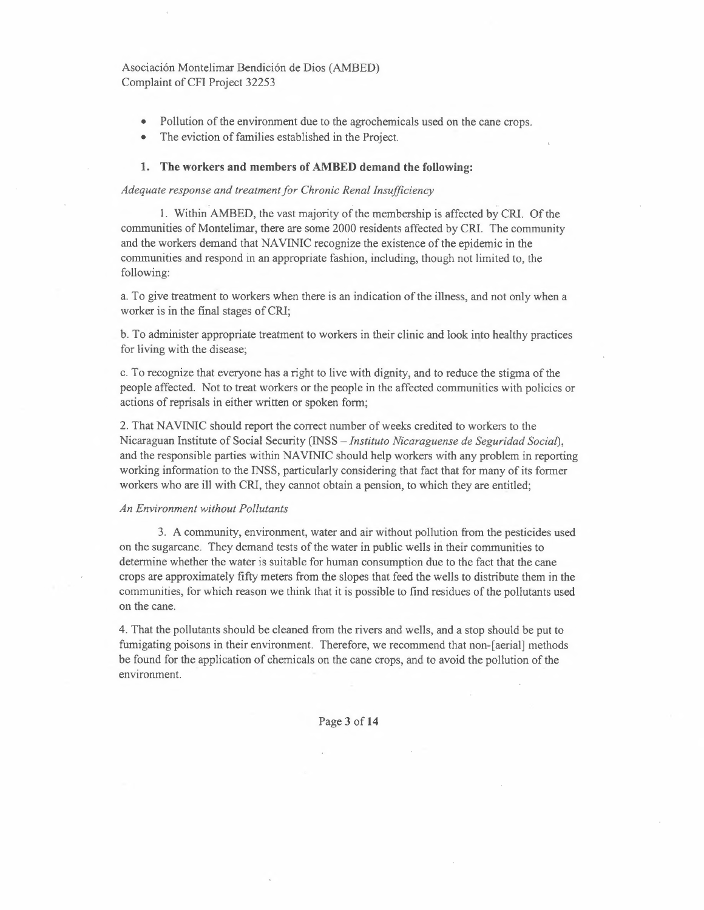- Pollution of the environment due to the agrochemicals used on the cane crops.
- The eviction of families established in the Project.

#### 1. The workers and members of AMBED demand the following:

### *Adequate response and treatment for Chronic Renal Insufficiency*

1. Within AMBED, the vast majority of the membership is affected by CRI. Of the communities of Montelimar, there are some 2000 residents affected by CRI. The community and the workers demand that NA VINIC recognize the existence of the epidemic in the communities and respond in an appropriate fashion, including, though not limited to, the following:

a. To give treatment to workers when there is an indication of the illness, and not only when a worker is in the final stages of CRI;

b. To administer appropriate treatment to workers in their clinic and look into healthy practices for living with the disease;

c. To recognize that everyone has a right to live with dignity, and to reduce the stigma of the people affected. Not to treat workers or the people in the affected communities with policies or actions of reprisals in either written or spoken form;

2. That NAVINIC should report the correct number of weeks credited to workers to the Nicaraguan Institute of Social Security (INSS - *Instituto Nicaraguense de Seguridad Social),*  and the responsible parties within NAVINIC should help workers with any problem in reporting working information to the INSS, particularly considering that fact that for many of its former workers who are ill with CRI, they cannot obtain a pension, to which they are entitled;

### *An Environment without Pollutants*

3. A community, environment, water and air without pollution from the pesticides used on the sugarcane. They demand tests of the water in public wells in their communities to determine whether the water is suitable for human consumption due to the fact that the cane crops are approximately fifty meters from the slopes that feed the wells to distribute them in the communities, for which reason we think that it is possible to find residues of the pollutants used on the cane.

4. That the pollutants should be cleaned from the rivers and wells, and a stop should be put to fumigating poisons in their environment. Therefore, we recommend that non-[aerial] methods be found for the application of chemicals on the cane crops, and to avoid the pollution of the environment.

Page **3 of14**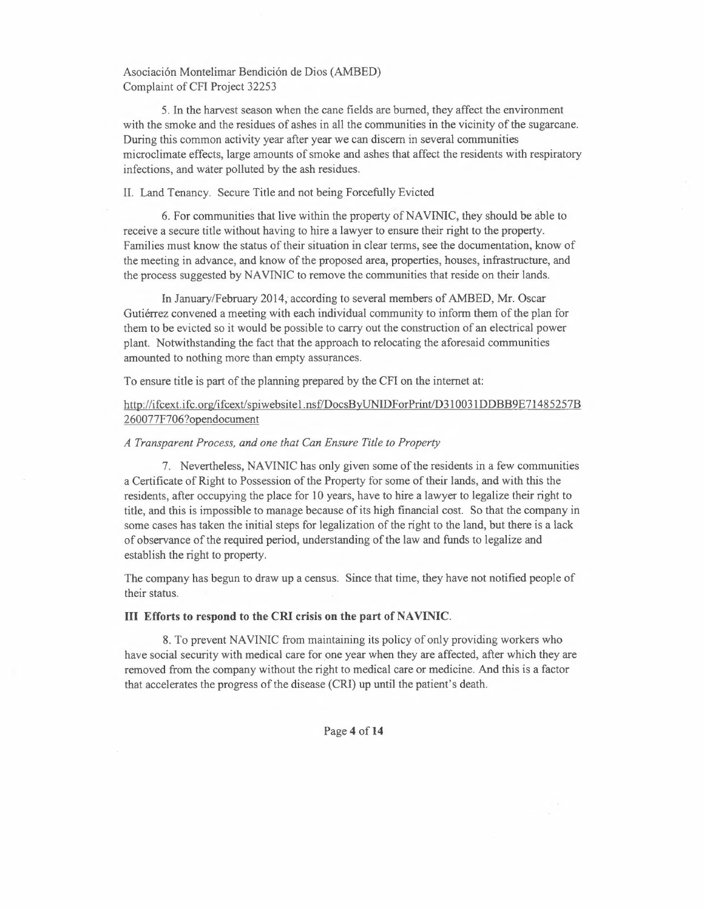5. In the harvest season when the cane fields are burned, they affect the environment with the smoke and the residues of ashes in all the communities in the vicinity of the sugarcane. During this common activity year after year we can discern in several communities microclimate effects, large amounts of smoke and ashes that affect the residents with respiratory infections, and water polluted by the ash residues.

II. Land Tenancy. Secure Title and not being Forcefully Evicted

6. For communities that live within the property of NAVINIC, they should be able to receive a secure title without having to hire a lawyer to ensure their right to the property. Families must know the status of their situation in clear terms, see the documentation, know of the meeting in advance, and know of the proposed area, properties, houses, infrastructure, and the process suggested by NA VINIC to remove the communities that reside on their lands.

In January/February 2014; according to several members of AMBED, Mr. Oscar Gutierrez convened a meeting with each individual community to inform them of the plan for them to be evicted so it would be possible to carry out the construction of an electrical power plant. Notwithstanding the fact that the approach to relocating the aforesaid communities amounted to nothing more than empty assurances.

To ensure title is part of the planning prepared by the CFI on the internet at:

# http://ifcext.ifc.org/ifcext/spiwebsite1.nsf/DocsByUNIDForPrint/D31 0031 DDBB9E71485257B 260077F706?opendocument

## *A Transparent Process, and one that Can Ensure Title to Property*

7. Nevertheless, NAVINIC has only given some of the residents in a few communities a Certificate of Right to Possession of the Property for some of their lands, and with this the residents, after occupying the place for 10 years, have to hire a lawyer to legalize their right to title, and this is impossible to manage because of its high financial cost. So that the company in some cases has taken the initial steps for legalization of the right to the land, but there is a lack of observance of the required period, understanding of the law and funds to legalize and establish the right to property.

The company has begun to draw up a census. Since that time, they have not notified people of their status.

## III Efforts to respond to the CRI crisis on the part of NAVINIC.

8. To prevent NA VINIC from maintaining its policy of only providing workers who have social security with medical care for one year when they are affected, after which they are removed from the company without the right to medical care or medicine. And this is a factor that accelerates the progress of the disease (CRI) up until the patient's death.

Page 4 of 14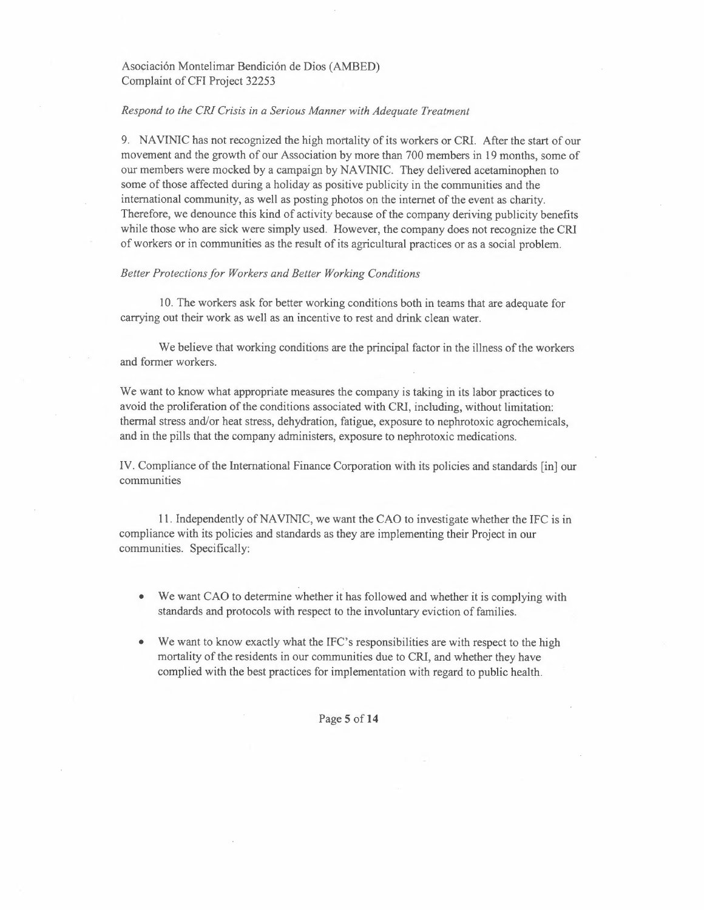## *Respond to the CRI Crisis in a Serious Manner with Adequate Treatment*

9. NA VINIC has not recognized the high mortality of its workers or CRI. After the start of our movement and the growth of our Association by more than 700 members in 19 months, some of our members were mocked by a campaign by NA VINIC. They delivered acetaminophen to some of those affected during a holiday as positive publicity in the communities and the international community, as well as posting photos on the internet of the event as charity. Therefore, we denounce this kind of activity because of the company deriving publicity benefits while those who are sick were simply used. However, the company does not recognize the CRI of workers or in communities as the result of its agricultural practices or as a social problem.

#### *Better Protections for Workers and Better Working Conditions*

10. The workers ask for better working conditions both in teams that are adequate for carrying out their work as well as an incentive to rest and drink clean water.

We believe that working conditions are the principal factor in the illness of the workers and former workers.

We want to know what appropriate measures the company is taking in its labor practices to avoid the proliferation of the conditions associated with CRI, including, without limitation: thermal stress and/or heat stress, dehydration, fatigue, exposure to nephrotoxic agrochemicals, and in the pills that the company administers, exposure to nephrotoxic medications.

IV. Compliance of the International Finance Corporation with its policies and standards [in] our communities

11. Independently of NA VINIC, we want the CAO to investigate whether the IFC is in compliance with its policies and standards as they are implementing their Project in our communities. Specifically:

- We want CAO to determine whether it has followed and whether it is complying with standards and protocols with respect to the involuntary eviction of families.
- We want to know exactly what the IFC's responsibilities are with respect to the high mortality of the residents in our communities due to CRI, and whether they have complied with the best practices for implementation with regard to public health.

Page 5 of 14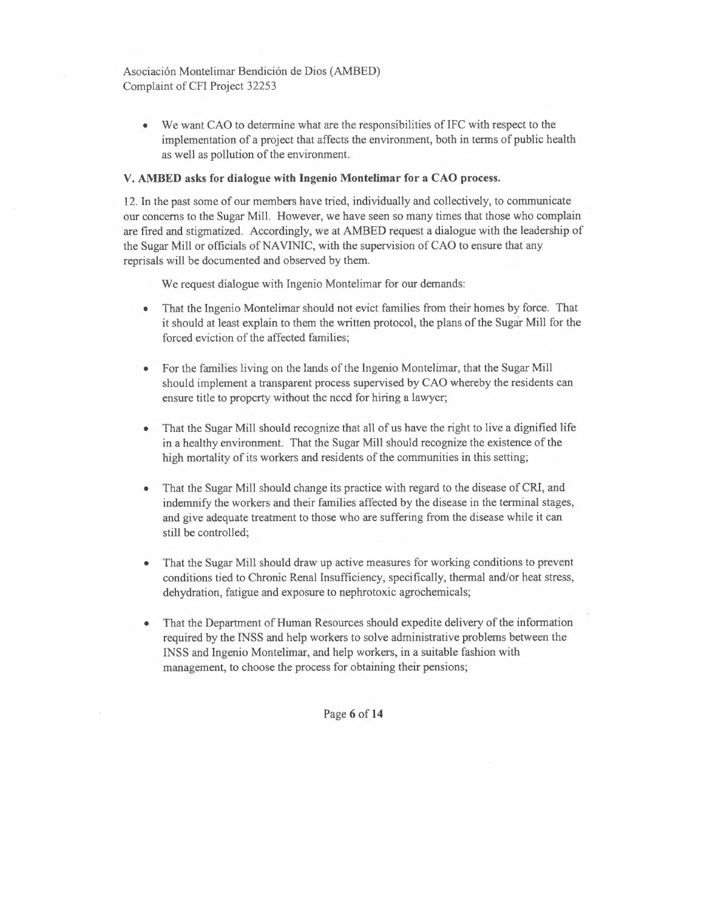• We want CAO to determine what are the responsibilities of IFC with respect to the implementation of a project that affects the environment, both in terms of public health as well as pollution of the environment.

## **V. AMBED** asks **for dialogue with Ingenio Montelimar for** a CAO process.

12. In the past some of our members have tried, individually and collectively, to communicate our concerns to the Sugar Mill. However, we have seen so many times that those who complain are fired and stigmatized. Accordingly, we at AMBED request a dialogue with the leadership of the Sugar Mill or officials of NAVINIC, with the supervision of CAO to ensure that any reprisals will be documented and observed by them.

We request dialogue with Ingenio Montelimar for our demands:

- That the Ingenio Montelimar should not evict families from their homes by force. That it should at least explain to them the written protocol, the plans of the Sugar Mill for the forced eviction of the affected families;
- '. For the families living on the lands of the Ingenio Montelimar, that the Sugar Mill should implement a transparent process supervised by CAO whereby the residents can ensure title to property without the need for hiring a lawyer;
- That the Sugar Mill should recognize that all of us have the right to live a dignified life in a healthy environment. That the Sugar Mill should recognize the existence of the high mortality of its workers and residents of the communities in this setting;
- That the Sugar Mill should change its practice with regard to the disease of CRI, and indemnify the workers and their families affected by the disease in the terminal stages, and give adequate treatment to those who are suffering from the disease while it can still be controlled;
- That the Sugar Mill should draw up active measures for working conditions to prevent conditions tied to Chronic Renal Insufficiency, specifically, thermal and/or heat stress, dehydration, fatigue and exposure to nephrotoxic agrochemicals;
- That the Department of Human Resources should expedite delivery of the information required by the INSS and help workers to solve administrative problems between the INSS and Ingenio Montelimar, and help workers, in a suitable fashion with management, to choose the process for obtaining their pensions;

Page 6 of 14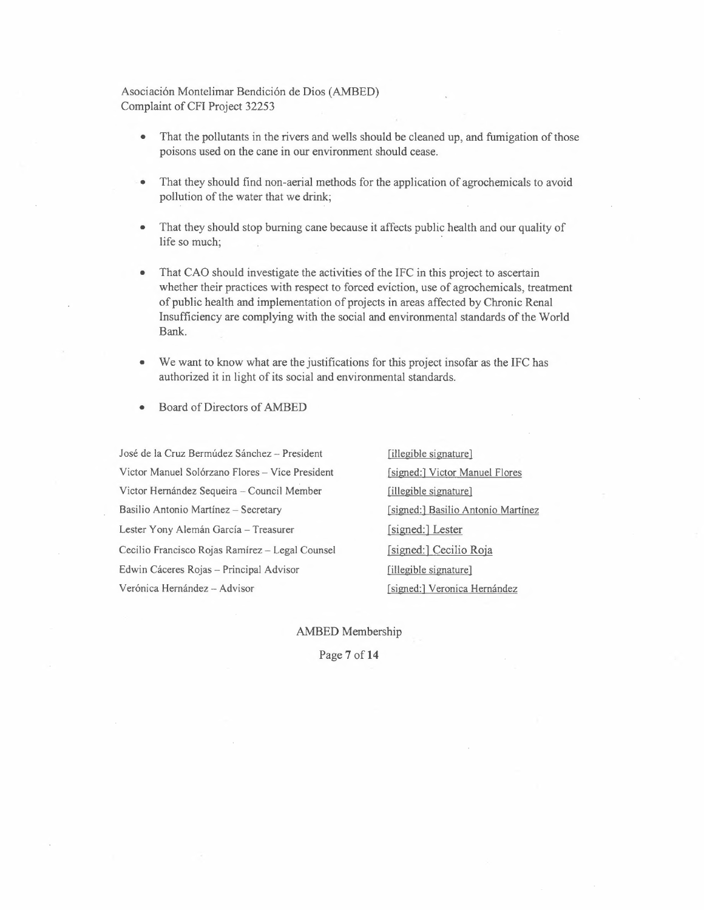- That the pollutants in the rivers and wells should be cleaned up, and fumigation of those poisons used on the cane in our environment should cease.
- . That they should find non-aerial methods for the application of agrochemicals to avoid pollution of the water that we drink;
- That they should stop burning cane because it affects public health and our quality of life so much;
- That CAO should investigate the activities of the IFC in this project to ascertain whether their practices with respect to forced eviction, use of agrochemicals, treatment of public health and implementation of projects in areas affected by Chronic Renal Insufficiency are complying with the social and environmental standards of the World Bank.
- We want to know what are the justifications for this project insofar as the IFC has authorized it in light of its social and environmental standards.
- Board of Directors of AMBED

José de la Cruz Bermúdez Sánchez - President Victor Manuel Solórzano Flores - Vice President Victor Hernández Sequeira - Council Member Basilio Antonio Martínez - Secretary Lester Yony Alemán García - Treasurer Cecilio Francisco Rojas Ramirez - Legal Counsel Edwin Cáceres Rojas - Principal Advisor Verónica Hernández - Advisor

[illegible signature] [signed:] Victor Manuel Flores [illegible signature] [signed:] Basilio Antonio Martinez [signed:] Lester [signed:] Cecilio Roja [illegible signature] [signed:] Veronica Hernández

AMBED Membership

Page **7 of14**